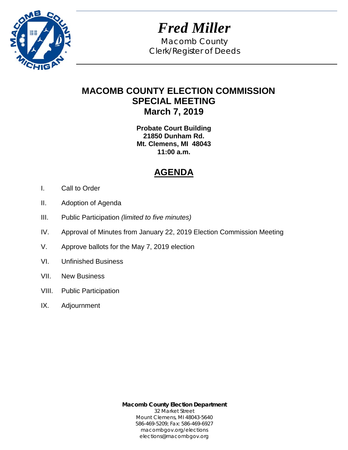

*Fred Miller* Macomb County Clerk/Register of Deeds

# **MACOMB COUNTY ELECTION COMMISSION SPECIAL MEETING March 7, 2019**

**Probate Court Building 21850 Dunham Rd. Mt. Clemens, MI 48043 11:00 a.m.**

# **AGENDA**

- I. Call to Order
- II. Adoption of Agenda
- III. Public Participation *(limited to five minutes)*
- IV. Approval of Minutes from January 22, 2019 Election Commission Meeting
- V. Approve ballots for the May 7, 2019 election
- VI. Unfinished Business
- VII. New Business
- VIII. Public Participation
- IX. Adjournment

**Macomb County Election Department** 32 Market Street Mount Clemens, MI 48043-5640 586-469-5209; Fax: 586-469-6927 macombgov.org/elections elections@macombgov.org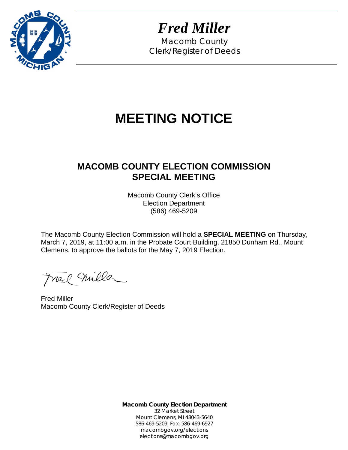

*Fred Miller*

Macomb County Clerk/Register of Deeds

# **MEETING NOTICE**

# **MACOMB COUNTY ELECTION COMMISSION SPECIAL MEETING**

Macomb County Clerk's Office Election Department (586) 469-5209

The Macomb County Election Commission will hold a **SPECIAL MEETING** on Thursday, March 7, 2019, at 11:00 a.m. in the Probate Court Building, 21850 Dunham Rd., Mount Clemens, to approve the ballots for the May 7, 2019 Election.

Freel Mille

Fred Miller Macomb County Clerk/Register of Deeds

**Macomb County Election Department** 32 Market Street Mount Clemens, MI 48043-5640 586-469-5209; Fax: 586-469-6927 macombgov.org/elections elections@macombgov.org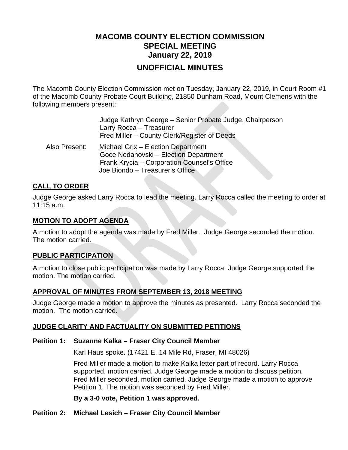## **MACOMB COUNTY ELECTION COMMISSION SPECIAL MEETING January 22, 2019 UNOFFICIAL MINUTES**

The Macomb County Election Commission met on Tuesday, January 22, 2019, in Court Room #1 of the Macomb County Probate Court Building, 21850 Dunham Road, Mount Clemens with the following members present:

|               | Judge Kathryn George - Senior Probate Judge, Chairperson<br>Larry Rocca - Treasurer<br>Fred Miller – County Clerk/Register of Deeds                           |
|---------------|---------------------------------------------------------------------------------------------------------------------------------------------------------------|
| Also Present: | Michael Grix - Election Department<br>Goce Nedanovski - Election Department<br>Frank Krycia - Corporation Counsel's Office<br>Joe Biondo - Treasurer's Office |

#### **CALL TO ORDER**

Judge George asked Larry Rocca to lead the meeting. Larry Rocca called the meeting to order at 11:15 a.m.

#### **MOTION TO ADOPT AGENDA**

A motion to adopt the agenda was made by Fred Miller. Judge George seconded the motion. The motion carried.

#### **PUBLIC PARTICIPATION**

A motion to close public participation was made by Larry Rocca. Judge George supported the motion. The motion carried.

#### **APPROVAL OF MINUTES FROM SEPTEMBER 13, 2018 MEETING**

Judge George made a motion to approve the minutes as presented. Larry Rocca seconded the motion. The motion carried.

#### **JUDGE CLARITY AND FACTUALITY ON SUBMITTED PETITIONS**

#### **Petition 1: Suzanne Kalka – Fraser City Council Member**

Karl Haus spoke. (17421 E. 14 Mile Rd, Fraser, MI 48026)

Fred Miller made a motion to make Kalka letter part of record. Larry Rocca supported, motion carried. Judge George made a motion to discuss petition. Fred Miller seconded, motion carried. Judge George made a motion to approve Petition 1. The motion was seconded by Fred Miller.

**By a 3-0 vote, Petition 1 was approved.** 

#### **Petition 2: Michael Lesich – Fraser City Council Member**